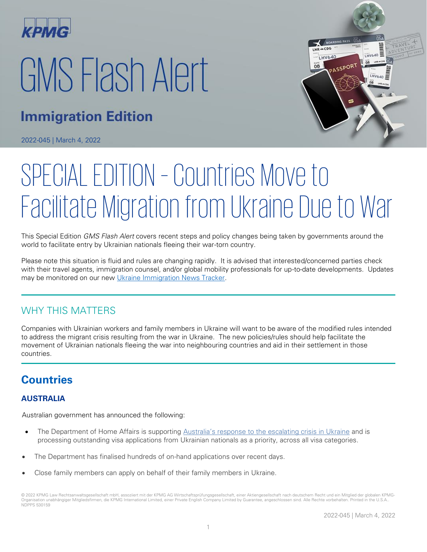

# GMS Flash Alert

## **Immigration Edition**

2022-045 | March 4, 2022



# SPECIAL EDITION – Countries Move to Facilitate Migration from Ukraine Due to War

This Special Edition GMS Flash Alert covers recent steps and policy changes being taken by governments around the world to facilitate entry by Ukrainian nationals fleeing their war-torn country.

Please note this situation is fluid and rules are changing rapidly. It is advised that interested/concerned parties check with their travel agents, immigration counsel, and/or global mobility professionals for up-to-date developments. Updates may be monitored on our new [Ukraine Immigration News Tracker.](https://home.kpmg/xx/en/home/insights/2022/01/gms-immigration-news-highlights.html)

#### WHY THIS MATTERS

Companies with Ukrainian workers and family members in Ukraine will want to be aware of the modified rules intended to address the migrant crisis resulting from the war in Ukraine. The new policies/rules should help facilitate the movement of Ukrainian nationals fleeing the war into neighbouring countries and aid in their settlement in those countries.

### **Countries**

#### **AUSTRALIA**

Australian government has announced the following:

- The Department of Home Affairs is supporting [Australia's response to the escalating crisis in Ukraine](https://www.pm.gov.au/media/australias-response-russias-aggression-against-ukraine) and is processing outstanding visa applications from Ukrainian nationals as a priority, across all visa categories.
- The Department has finalised hundreds of on-hand applications over recent days.
- Close family members can apply on behalf of their family members in Ukraine.

<sup>© 2022</sup> KPMG Law Rechtsanwaltsgesellschaft mbH, assoziiert mit der KPMG AG Wirtschaftsprüfungsgesellschaft, einer Aktiengesellschaft nach deutschem Recht und ein Mitglied der globalen KPMG-Organisation unabhängiger Mitgliedsfirmen, die KPMG International Limited, einer Private English Company Limited by Guarantee, angeschlossen sind. Alle Rechte vorbehalten. Printed in the U.S.A.. NDPPS 530159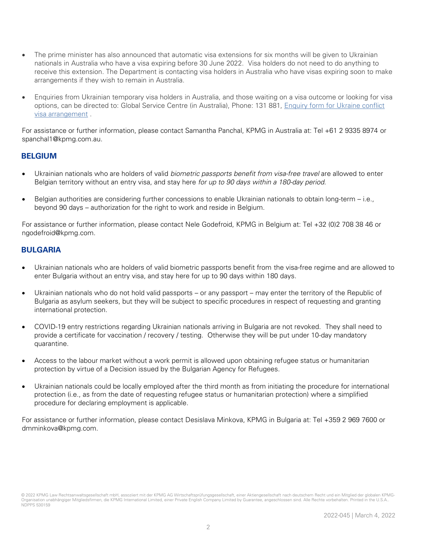- The prime minister has also announced that automatic visa extensions for six months will be given to Ukrainian nationals in Australia who have a visa expiring before 30 June 2022. Visa holders do not need to do anything to receive this extension. The Department is contacting visa holders in Australia who have visas expiring soon to make arrangements if they wish to remain in Australia.
- Enquiries from Ukrainian temporary visa holders in Australia, and those waiting on a visa outcome or looking for visa options, can be directed to: Global Service Centre (in Australia), Phone: 131 881, [Enquiry form for Ukraine conflict](https://www.homeaffairs.gov.au/help-and-support/ukraine-visa-support/contact-form-for-ukraine)  [visa arrangement](https://www.homeaffairs.gov.au/help-and-support/ukraine-visa-support/contact-form-for-ukraine) .

For assistance or further information, please contact Samantha Panchal, KPMG in Australia at: Tel +61 2 9335 8974 or spanchal1@kpmg.com.au.

#### **BELGIUM**

- Ukrainian nationals who are holders of valid biometric passports benefit from visa-free travel are allowed to enter Belgian territory without an entry visa, and stay here for up to 90 days within a 180-day period.
- Belgian authorities are considering further concessions to enable Ukrainian nationals to obtain long-term i.e., beyond 90 days – authorization for the right to work and reside in Belgium.

For assistance or further information, please contact Nele Godefroid, KPMG in Belgium at: Tel +32 (0)2 708 38 46 or ngodefroid@kpmg.com.

#### **BULGARIA**

- Ukrainian nationals who are holders of valid biometric passports benefit from the visa-free regime and are allowed to enter Bulgaria without an entry visa, and stay here for up to 90 days within 180 days.
- Ukrainian nationals who do not hold valid passports or any passport may enter the territory of the Republic of Bulgaria as asylum seekers, but they will be subject to specific procedures in respect of requesting and granting international protection.
- COVID-19 entry restrictions regarding Ukrainian nationals arriving in Bulgaria are not revoked. They shall need to provide a certificate for vaccination / recovery / testing. Otherwise they will be put under 10-day mandatory quarantine.
- Access to the labour market without a work permit is allowed upon obtaining refugee status or humanitarian protection by virtue of a Decision issued by the Bulgarian Agency for Refugees.
- Ukrainian nationals could be locally employed after the third month as from initiating the procedure for international protection (i.e., as from the date of requesting refugee status or humanitarian protection) where a simplified procedure for declaring employment is applicable.

For assistance or further information, please contact Desislava Minkova, KPMG in Bulgaria at: Tel +359 2 969 7600 or dmminkova@kpmg.com.

<sup>© 2022</sup> KPMG Law Rechtsanwaltsgesellschaft mbH, assoziiert mit der KPMG AG Wirtschaftsprüfungsgesellschaft, einer Aktiengesellschaft nach deutschem Recht und ein Mitglied der globalen KPMG-Organisation unabhängiger Mitgliedsfirmen, die KPMG International Limited, einer Private English Company Limited by Guarantee, angeschlossen sind. Alle Rechte vorbehalten. Printed in the U.S.A. NDPPS 530159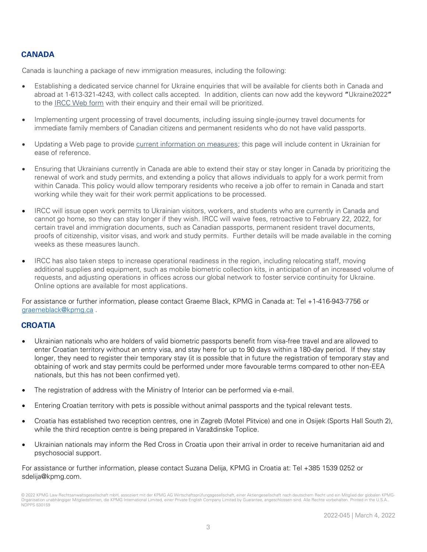#### **CANADA**

Canada is launching a package of new immigration measures, including the following:

- Establishing a dedicated service channel for Ukraine enquiries that will be available for clients both in Canada and abroad at 1-613-321-4243, with collect calls accepted. In addition, clients can now add the keyword **"**Ukraine2022**"** to the [IRCC Web form](https://ircc.canada.ca/english/contacts/web-form.asp) with their enquiry and their email will be prioritized.
- Implementing urgent processing of travel documents, including issuing single-journey travel documents for immediate family members of Canadian citizens and permanent residents who do not have valid passports.
- Updating a Web page to provide [current information on measures;](https://www.canada.ca/en/immigration-refugees-citizenship/services/immigrate-canada/ukraine-measures.html) this page will include content in Ukrainian for ease of reference.
- Ensuring that Ukrainians currently in Canada are able to extend their stay or stay longer in Canada by prioritizing the renewal of work and study permits, and extending a policy that allows individuals to apply for a work permit from within Canada. This policy would allow temporary residents who receive a job offer to remain in Canada and start working while they wait for their work permit applications to be processed.
- IRCC will issue open work permits to Ukrainian visitors, workers, and students who are currently in Canada and cannot go home, so they can stay longer if they wish. IRCC will waive fees, retroactive to February 22, 2022, for certain travel and immigration documents, such as Canadian passports, permanent resident travel documents, proofs of citizenship, visitor visas, and work and study permits. Further details will be made available in the coming weeks as these measures launch.
- IRCC has also taken steps to increase operational readiness in the region, including relocating staff, moving additional supplies and equipment, such as mobile biometric collection kits, in anticipation of an increased volume of requests, and adjusting operations in offices across our global network to foster service continuity for Ukraine. Online options are available for most applications.

For assistance or further information, please contact Graeme Black, KPMG in Canada at: Tel +1-416-943-7756 or [graemeblack@kpmg.ca](mailto:graemeblack@kpmg.ca) .

#### **CROATIA**

- Ukrainian nationals who are holders of valid biometric passports benefit from visa-free travel and are allowed to enter Croatian territory without an entry visa, and stay here for up to 90 days within a 180-day period. If they stay longer, they need to register their temporary stay (it is possible that in future the registration of temporary stay and obtaining of work and stay permits could be performed under more favourable terms compared to other non-EEA nationals, but this has not been confirmed yet).
- The registration of address with the Ministry of Interior can be performed via e-mail.
- Entering Croatian territory with pets is possible without animal passports and the typical relevant tests.
- Croatia has established two reception centres, one in Zagreb (Motel Plitvice) and one in Osijek (Sports Hall South 2), while the third reception centre is being prepared in Varaždinske Toplice.
- Ukrainian nationals may inform the Red Cross in Croatia upon their arrival in order to receive humanitarian aid and psychosocial support.

For assistance or further information, please contact Suzana Delija, KPMG in Croatia at: Tel +385 1539 0252 or sdelija@kpmg.com.

<sup>© 2022</sup> KPMG Law Rechtsanwaltsgesellschaft mbH, assoziiert mit der KPMG AG Wirtschaftsprüfungsgesellschaft, einer Aktiengesellschaft nach deutschem Recht und ein Mitglied der globalen KPMG-Organisation unabhängiger Mitgliedsfirmen, die KPMG International Limited, einer Private English Company Limited by Guarantee, angeschlossen sind. Alle Rechte vorbehalten. Printed in the U.S.A. NDPPS 530159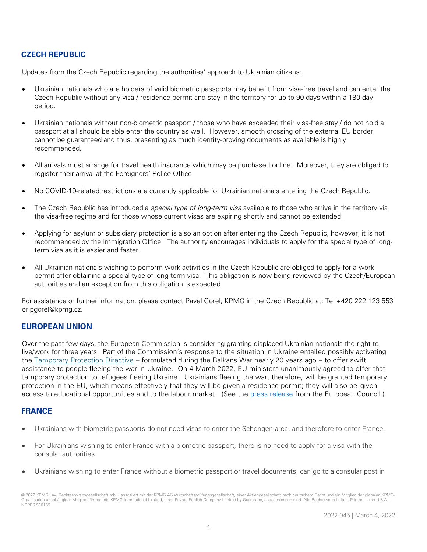#### **CZECH REPUBLIC**

Updates from the Czech Republic regarding the authorities' approach to Ukrainian citizens:

- Ukrainian nationals who are holders of valid biometric passports may benefit from visa-free travel and can enter the Czech Republic without any visa / residence permit and stay in the territory for up to 90 days within a 180-day period.
- Ukrainian nationals without non-biometric passport / those who have exceeded their visa-free stay / do not hold a passport at all should be able enter the country as well. However, smooth crossing of the external EU border cannot be guaranteed and thus, presenting as much identity-proving documents as available is highly recommended.
- All arrivals must arrange for travel health insurance which may be purchased online. Moreover, they are obliged to register their arrival at the Foreigners' Police Office.
- No COVID-19-related restrictions are currently applicable for Ukrainian nationals entering the Czech Republic.
- The Czech Republic has introduced a special type of long-term visa available to those who arrive in the territory via the visa-free regime and for those whose current visas are expiring shortly and cannot be extended.
- Applying for asylum or subsidiary protection is also an option after entering the Czech Republic, however, it is not recommended by the Immigration Office. The authority encourages individuals to apply for the special type of longterm visa as it is easier and faster.
- All Ukrainian nationals wishing to perform work activities in the Czech Republic are obliged to apply for a work permit after obtaining a special type of long-term visa. This obligation is now being reviewed by the Czech/European authorities and an exception from this obligation is expected.

For assistance or further information, please contact Pavel Gorel, KPMG in the Czech Republic at: Tel +420 222 123 553 or pgorel@kpmg.cz.

#### **EUROPEAN UNION**

Over the past few days, the European Commission is considering granting displaced Ukrainian nationals the right to live/work for three years. Part of the Commission's response to the situation in Ukraine entailed possibly activating the [Temporary Protection Directive](https://ec.europa.eu/home-affairs/proposal-council-implementing-decision-implementing-temporary-protection-directive_en) – formulated during the Balkans War nearly 20 years ago – to offer swift assistance to people fleeing the war in Ukraine. On 4 March 2022, EU ministers unanimously agreed to offer that temporary protection to refugees fleeing Ukraine. Ukrainians fleeing the war, therefore, will be granted temporary protection in the EU, which means effectively that they will be given a residence permit; they will also be given access to educational opportunities and to the labour market. (See the [press release](https://www.consilium.europa.eu/en/meetings/jha/2022/03/03-04/) from the European Council.)

#### **FRANCE**

- Ukrainians with biometric passports do not need visas to enter the Schengen area, and therefore to enter France.
- For Ukrainians wishing to enter France with a biometric passport, there is no need to apply for a visa with the consular authorities.
- Ukrainians wishing to enter France without a biometric passport or travel documents, can go to a consular post in

<sup>© 2022</sup> KPMG Law Rechtsanwaltsgesellschaft mbH, assoziiert mit der KPMG AG Wirtschaftsprüfungsgesellschaft, einer Aktiengesellschaft nach deutschem Recht und ein Mitglied der globalen KPMG-Organisation unabhängiger Mitgliedsfirmen, die KPMG International Limited, einer Private English Company Limited by Guarantee, angeschlossen sind. Alle Rechte vorbehalten. Printed in the U.S.A. NDPPS 530159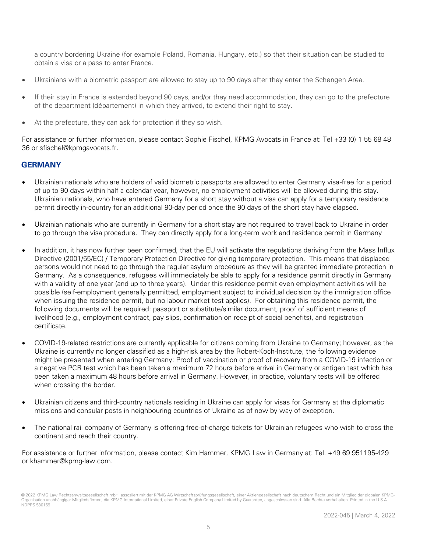a country bordering Ukraine (for example Poland, Romania, Hungary, etc.) so that their situation can be studied to obtain a visa or a pass to enter France.

- Ukrainians with a biometric passport are allowed to stay up to 90 days after they enter the Schengen Area.
- If their stay in France is extended beyond 90 days, and/or they need accommodation, they can go to the prefecture of the department (département) in which they arrived, to extend their right to stay.
- At the prefecture, they can ask for protection if they so wish.

For assistance or further information, please contact Sophie Fischel, KPMG Avocats in France at: Tel +33 (0) 1 55 68 48 36 or sfischel@kpmgavocats.fr.

#### **GERMANY**

- Ukrainian nationals who are holders of valid biometric passports are allowed to enter Germany visa-free for a period of up to 90 days within half a calendar year, however, no employment activities will be allowed during this stay. Ukrainian nationals, who have entered Germany for a short stay without a visa can apply for a temporary residence permit directly in-country for an additional 90-day period once the 90 days of the short stay have elapsed.
- Ukrainian nationals who are currently in Germany for a short stay are not required to travel back to Ukraine in order to go through the visa procedure. They can directly apply for a long-term work and residence permit in Germany
- In addition, it has now further been confirmed, that the EU will activate the regulations deriving from the Mass Influx Directive (2001/55/EC) / Temporary Protection Directive for giving temporary protection. This means that displaced persons would not need to go through the regular asylum procedure as they will be granted immediate protection in Germany. As a consequence, refugees will immediately be able to apply for a residence permit directly in Germany with a validity of one year (and up to three years). Under this residence permit even employment activities will be possible (self-employment generally permitted, employment subject to individual decision by the immigration office when issuing the residence permit, but no labour market test applies). For obtaining this residence permit, the following documents will be required: passport or substitute/similar document, proof of sufficient means of livelihood (e.g., employment contract, pay slips, confirmation on receipt of social benefits), and registration certificate.
- COVID-19-related restrictions are currently applicable for citizens coming from Ukraine to Germany; however, as the Ukraine is currently no longer classified as a high-risk area by the Robert-Koch-Institute, the following evidence might be presented when entering Germany: Proof of vaccination or proof of recovery from a COVID-19 infection or a negative PCR test which has been taken a maximum 72 hours before arrival in Germany or antigen test which has been taken a maximum 48 hours before arrival in Germany. However, in practice, voluntary tests will be offered when crossing the border.
- Ukrainian citizens and third-country nationals residing in Ukraine can apply for visas for Germany at the diplomatic missions and consular posts in neighbouring countries of Ukraine as of now by way of exception.
- The national rail company of Germany is offering free-of-charge tickets for Ukrainian refugees who wish to cross the continent and reach their country.

For assistance or further information, please contact Kim Hammer, KPMG Law in Germany at: Tel. +49 69 951195-429 or khammer@kpmg-law.com.

<sup>© 2022</sup> KPMG Law Rechtsanwaltsgesellschaft mbH, assoziiert mit der KPMG AG Wirtschaftsprüfungsgesellschaft, einer Aktiengesellschaft nach deutschem Recht und ein Mitglied der globalen KPMG-Organisation unabhängiger Mitgliedsfirmen, die KPMG International Limited, einer Private English Company Limited by Guarantee, angeschlossen sind. Alle Rechte vorbehalten. Printed in the U.S.A. NDPPS 530159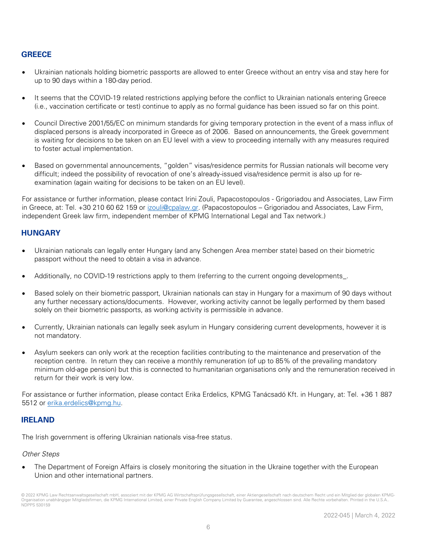#### **GREECE**

- Ukrainian nationals holding biometric passports are allowed to enter Greece without an entry visa and stay here for up to 90 days within a 180-day period.
- It seems that the COVID-19 related restrictions applying before the conflict to Ukrainian nationals entering Greece (i.e., vaccination certificate or test) continue to apply as no formal guidance has been issued so far on this point.
- Council Directive 2001/55/EC on minimum standards for giving temporary protection in the event of a mass influx of displaced persons is already incorporated in Greece as of 2006. Based on announcements, the Greek government is waiting for decisions to be taken on an EU level with a view to proceeding internally with any measures required to foster actual implementation.
- Based on governmental announcements, "golden" visas/residence permits for Russian nationals will become very difficult; indeed the possibility of revocation of one's already-issued visa/residence permit is also up for reexamination (again waiting for decisions to be taken on an EU level).

For assistance or further information, please contact Irini Zouli, Papacostopoulos - Grigoriadou and Associates, Law Firm in Greece, at: Tel. +30 210 60 62 159 or [izouli@cpalaw.gr.](mailto:izouli@cpalaw.gr) (Papacostopoulos - Grigoriadou and Associates, Law Firm, independent Greek law firm, independent member of KPMG International Legal and Tax network.)

#### **HUNGARY**

- Ukrainian nationals can legally enter Hungary (and any Schengen Area member state) based on their biometric passport without the need to obtain a visa in advance.
- Additionally, no COVID-19 restrictions apply to them (referring to the current ongoing developments\_.
- Based solely on their biometric passport, Ukrainian nationals can stay in Hungary for a maximum of 90 days without any further necessary actions/documents. However, working activity cannot be legally performed by them based solely on their biometric passports, as working activity is permissible in advance.
- Currently, Ukrainian nationals can legally seek asylum in Hungary considering current developments, however it is not mandatory.
- Asylum seekers can only work at the reception facilities contributing to the maintenance and preservation of the reception centre. In return they can receive a monthly remuneration (of up to 85% of the prevailing mandatory minimum old-age pension) but this is connected to humanitarian organisations only and the remuneration received in return for their work is very low.

For assistance or further information, please contact Erika Erdelics, KPMG Tanácsadó Kft. in Hungary, at: Tel. +36 1 887 5512 or [erika.erdelics@kpmg.hu.](mailto:erika.erdelics@kpmg.hu)

#### **IRELAND**

The Irish government is offering Ukrainian nationals visa-free status.

#### Other Steps

• The Department of Foreign Affairs is closely monitoring the situation in the Ukraine together with the European Union and other international partners.

<sup>© 2022</sup> KPMG Law Rechtsanwaltsgesellschaft mbH, assoziiert mit der KPMG AG Wirtschaftsprüfungsgesellschaft, einer Aktiengesellschaft nach deutschem Recht und ein Mitglied der globalen KPMG-Organisation unabhängiger Mitgliedsfirmen, die KPMG International Limited, einer Private English Company Limited by Guarantee, angeschlossen sind. Alle Rechte vorbehalten. Printed in the U.S.A. NDPPS 530159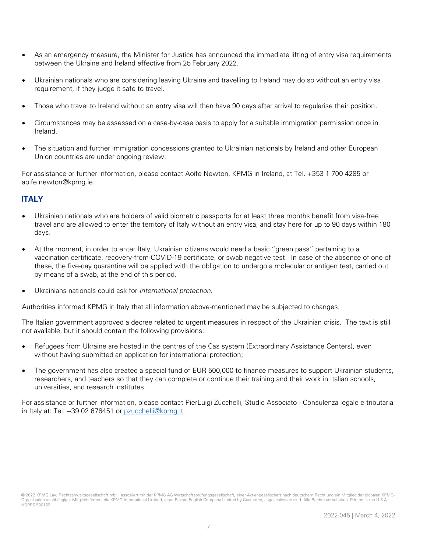- As an emergency measure, the Minister for Justice has announced the immediate lifting of entry visa requirements between the Ukraine and Ireland effective from 25 February 2022.
- Ukrainian nationals who are considering leaving Ukraine and travelling to Ireland may do so without an entry visa requirement, if they judge it safe to travel.
- Those who travel to Ireland without an entry visa will then have 90 days after arrival to regularise their position.
- Circumstances may be assessed on a case-by-case basis to apply for a suitable immigration permission once in Ireland.
- The situation and further immigration concessions granted to Ukrainian nationals by Ireland and other European Union countries are under ongoing review.

For assistance or further information, please contact Aoife Newton, KPMG in Ireland, at Tel. +353 1 700 4285 or aoife.newton@kpmg.ie.

#### **ITALY**

- Ukrainian nationals who are holders of valid biometric passports for at least three months benefit from visa-free travel and are allowed to enter the territory of Italy without an entry visa, and stay here for up to 90 days within 180 days.
- At the moment, in order to enter Italy, Ukrainian citizens would need a basic "green pass" pertaining to a vaccination certificate, recovery-from-COVID-19 certificate, or swab negative test. In case of the absence of one of these, the five-day quarantine will be applied with the obligation to undergo a molecular or antigen test, carried out by means of a swab, at the end of this period.
- Ukrainians nationals could ask for *international protection*.

Authorities informed KPMG in Italy that all information above-mentioned may be subjected to changes.

The Italian government approved a decree related to urgent measures in respect of the Ukrainian crisis. The text is still not available, but it should contain the following provisions:

- Refugees from Ukraine are hosted in the centres of the Cas system (Extraordinary Assistance Centers), even without having submitted an application for international protection;
- The government has also created a special fund of EUR 500,000 to finance measures to support Ukrainian students, researchers, and teachers so that they can complete or continue their training and their work in Italian schools, universities, and research institutes.

For assistance or further information, please contact PierLuigi Zucchelli, Studio Associato - Consulenza legale e tributaria in Italy at: Tel. +39 02 676451 or [pzucchelli@kpmg.it.](mailto:pzucchelli@kpmg.it)

<sup>© 2022</sup> KPMG Law Rechtsanwaltsgesellschaft mbH, assoziiert mit der KPMG AG Wirtschaftsprüfungsgesellschaft, einer Aktiengesellschaft nach deutschem Recht und ein Mitglied der globalen KPMG-Organisation unabhängiger Mitgliedsfirmen, die KPMG International Limited, einer Private English Company Limited by Guarantee, angeschlossen sind. Alle Rechte vorbehalten. Printed in the U.S.A. NDPPS 530159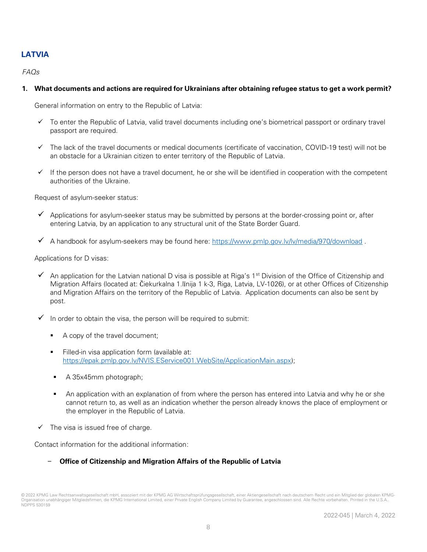#### **LATVIA**

#### $FAOs$

#### **1. What documents and actions are required for Ukrainians after obtaining refugee status to get a work permit?**

General information on entry to the Republic of Latvia:

- ✓ To enter the Republic of Latvia, valid travel documents including one's biometrical passport or ordinary travel passport are required.
- ✓ The lack of the travel documents or medical documents (certificate of vaccination, COVID-19 test) will not be an obstacle for a Ukrainian citizen to enter territory of the Republic of Latvia.
- $\checkmark$  If the person does not have a travel document, he or she will be identified in cooperation with the competent authorities of the Ukraine.

Request of asylum-seeker status:

- $\checkmark$  Applications for asylum-seeker status may be submitted by persons at the border-crossing point or, after entering Latvia, by an application to any structural unit of the State Border Guard.
- $\checkmark$  A handbook for asylum-seekers may be found here:<https://www.pmlp.gov.lv/lv/media/970/download>.

Applications for D visas:

- An application for the Latvian national D visa is possible at Riga's 1<sup>st</sup> Division of the Office of Citizenship and Migration Affairs (located at: Čiekurkalna 1.līnija 1 k-3, Riga, Latvia, LV-1026), or at other Offices of Citizenship and Migration Affairs on the territory of the Republic of Latvia. Application documents can also be sent by post.
- $\checkmark$  In order to obtain the visa, the person will be required to submit:
	- A copy of the travel document;
	- Filled-in visa application form (available at: [https://epak.pmlp.gov.lv/NVIS.EService001.WebSite/ApplicationMain.aspx\)](https://epak.pmlp.gov.lv/NVIS.EService001.WebSite/ApplicationMain.aspx);
	- A 35x45mm photograph;
	- An application with an explanation of from where the person has entered into Latvia and why he or she cannot return to, as well as an indication whether the person already knows the place of employment or the employer in the Republic of Latvia.
- $\checkmark$  The visa is issued free of charge.

Contact information for the additional information:

#### - **Office of Citizenship and Migration Affairs of the Republic of Latvia**

<sup>© 2022</sup> KPMG Law Rechtsanwaltsgesellschaft mbH, assoziiert mit der KPMG AG Wirtschaftsprüfungsgesellschaft, einer Aktiengesellschaft nach deutschem Recht und ein Mitglied der globalen KPMG-Organisation unabhängiger Mitgliedsfirmen, die KPMG International Limited, einer Private English Company Limited by Guarantee, angeschlossen sind. Alle Rechte vorbehalten. Printed in the U.S.A. NDPPS 530159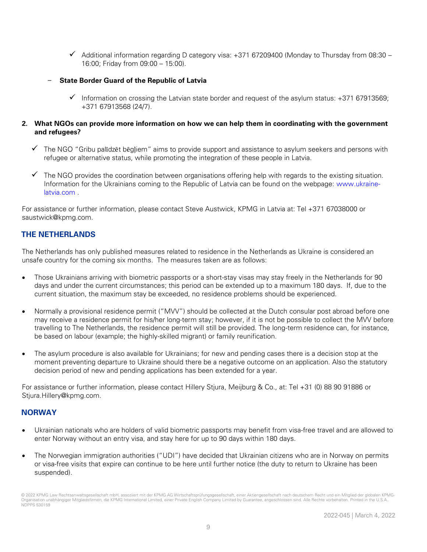- ✓ Additional information regarding D category visa: +371 67209400 (Monday to Thursday from 08:30 16:00; Friday from 09:00 – 15:00).
- **State Border Guard of the Republic of Latvia**
	- $\checkmark$  Information on crossing the Latvian state border and request of the asylum status: +371 67913569; +371 67913568 (24/7).

#### **2. What NGOs can provide more information on how we can help them in coordinating with the government and refugees?**

- ✓ The NGO "Gribu palīdzēt bēgļiem" aims to provide support and assistance to asylum seekers and persons with refugee or alternative status, while promoting the integration of these people in Latvia.
- $\checkmark$  The NGO provides the coordination between organisations offering help with regards to the existing situation. Information for the Ukrainians coming to the Republic of Latvia can be found on the webpage: [www.ukraine](http://www.ukraine-latvia.com/)[latvia.com](http://www.ukraine-latvia.com/) .

For assistance or further information, please contact Steve Austwick, KPMG in Latvia at: Tel +371 67038000 or saustwick@kpmg.com.

#### **THE NETHERLANDS**

The Netherlands has only published measures related to residence in the Netherlands as Ukraine is considered an unsafe country for the coming six months. The measures taken are as follows:

- Those Ukrainians arriving with biometric passports or a short-stay visas may stay freely in the Netherlands for 90 days and under the current circumstances; this period can be extended up to a maximum 180 days. If, due to the current situation, the maximum stay be exceeded, no residence problems should be experienced.
- Normally a provisional residence permit ("MVV") should be collected at the Dutch consular post abroad before one may receive a residence permit for his/her long-term stay; however, if it is not be possible to collect the MVV before travelling to The Netherlands, the residence permit will still be provided. The long-term residence can, for instance, be based on labour (example; the highly-skilled migrant) or family reunification.
- The asylum procedure is also available for Ukrainians; for new and pending cases there is a decision stop at the moment preventing departure to Ukraine should there be a negative outcome on an application. Also the statutory decision period of new and pending applications has been extended for a year.

For assistance or further information, please contact Hillery Stjura, Meijburg & Co., at: Tel +31 (0) 88 90 91886 or Stjura.Hillery@kpmg.com.

#### **NORWAY**

- Ukrainian nationals who are holders of valid biometric passports may benefit from visa-free travel and are allowed to enter Norway without an entry visa, and stay here for up to 90 days within 180 days.
- The Norwegian immigration authorities ("UDI") have decided that Ukrainian citizens who are in Norway on permits or visa-free visits that expire can continue to be here until further notice (the duty to return to Ukraine has been suspended).

<sup>© 2022</sup> KPMG Law Rechtsanwaltsgesellschaft mbH, assoziiert mit der KPMG AG Wirtschaftsprüfungsgesellschaft, einer Aktiengesellschaft nach deutschem Recht und ein Mitglied der globalen KPMG-Organisation unabhängiger Mitgliedsfirmen, die KPMG International Limited, einer Private English Company Limited by Guarantee, angeschlossen sind. Alle Rechte vorbehalten. Printed in the U.S.A.. NDPPS 530159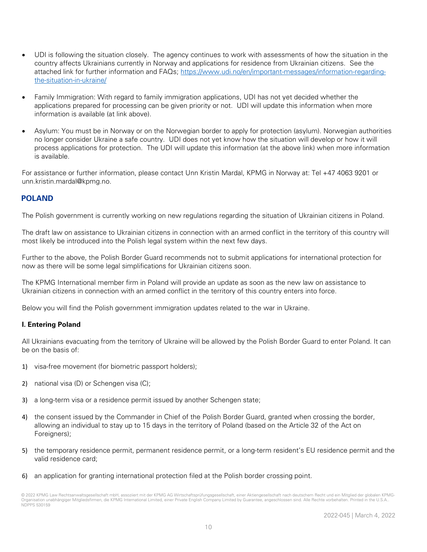- UDI is following the situation closely. The agency continues to work with assessments of how the situation in the country affects Ukrainians currently in Norway and applications for residence from Ukrainian citizens. See the attached link for further information and FAQs; [https://www.udi.no/en/important-messages/information-regarding](https://www.udi.no/en/important-messages/information-regarding-the-situation-in-ukraine/)[the-situation-in-ukraine/](https://www.udi.no/en/important-messages/information-regarding-the-situation-in-ukraine/)
- Family Immigration: With regard to family immigration applications, UDI has not yet decided whether the applications prepared for processing can be given priority or not. UDI will update this information when more information is available (at link above).
- Asylum: You must be in Norway or on the Norwegian border to apply for protection (asylum). Norwegian authorities no longer consider Ukraine a safe country. UDI does not yet know how the situation will develop or how it will process applications for protection. The UDI will update this information (at the above link) when more information is available.

For assistance or further information, please contact Unn Kristin Mardal, KPMG in Norway at: Tel +47 4063 9201 or unn.kristin.mardal@kpmg.no.

#### **POLAND**

The Polish government is currently working on new regulations regarding the situation of Ukrainian citizens in Poland.

The draft law on assistance to Ukrainian citizens in connection with an armed conflict in the territory of this country will most likely be introduced into the Polish legal system within the next few days.

Further to the above, the Polish Border Guard recommends not to submit applications for international protection for now as there will be some legal simplifications for Ukrainian citizens soon.

The KPMG International member firm in Poland will provide an update as soon as the new law on assistance to Ukrainian citizens in connection with an armed conflict in the territory of this country enters into force.

Below you will find the Polish government immigration updates related to the war in Ukraine.

#### **I. Entering Poland**

All Ukrainians evacuating from the territory of Ukraine will be allowed by the Polish Border Guard to enter Poland. It can be on the basis of:

- 1) visa-free movement (for biometric passport holders);
- 2) national visa (D) or Schengen visa (C);
- 3) a long-term visa or a residence permit issued by another Schengen state;
- 4) the consent issued by the Commander in Chief of the Polish Border Guard, granted when crossing the border, allowing an individual to stay up to 15 days in the territory of Poland (based on the Article 32 of the Act on Foreigners);
- 5) the temporary residence permit, permanent residence permit, or a long-term resident's EU residence permit and the valid residence card;
- 6) an application for granting international protection filed at the Polish border crossing point.

<sup>© 2022</sup> KPMG Law Rechtsanwaltsgesellschaft mbH, assoziiert mit der KPMG AG Wirtschaftsprüfungsgesellschaft, einer Aktiengesellschaft nach deutschem Recht und ein Mitglied der globalen KPMG-Organisation unabhängiger Mitgliedsfirmen, die KPMG International Limited, einer Private English Company Limited by Guarantee, angeschlossen sind. Alle Rechte vorbehalten. Printed in the U.S.A. NDPPS 530159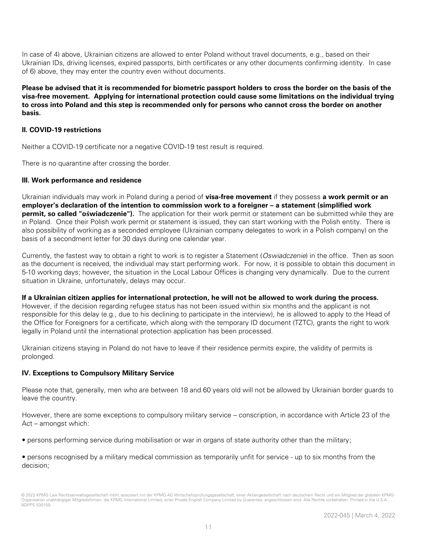In case of 4) above, Ukrainian citizens are allowed to enter Poland without travel documents, e.g., based on their Ukrainian IDs, driving licenses, expired passports, birth certificates or any other documents confirming identity. In case of 6) above, they may enter the country even without documents.

**Please be advised that it is recommended for biometric passport holders to cross the border on the basis of the visa-free movement. Applying for international protection could cause some limitations on the individual trying to cross into Poland and this step is recommended only for persons who cannot cross the border on another basis.**

#### **II. COVID-19 restrictions**

Neither a COVID-19 certificate nor a negative COVID-19 test result is required.

There is no quarantine after crossing the border.

#### **III. Work performance and residence**

Ukrainian individuals may work in Poland during a period of **visa-free movement** if they possess **a work permit or an employer's declaration of the intention to commission work to a foreigner – a statement (simplified work permit, so called "oświadczenie").** The application for their work permit or statement can be submitted while they are in Poland. Once their Polish work permit or statement is issued, they can start working with the Polish entity. There is also possibility of working as a seconded employee (Ukrainian company delegates to work in a Polish company) on the basis of a secondment letter for 30 days during one calendar year.

Currently, the fastest way to obtain a right to work is to register a Statement (Oswiadczenie) in the office. Then as soon as the document is received, the individual may start performing work. For now, it is possible to obtain this document in 5-10 working days; however, the situation in the Local Labour Offices is changing very dynamically. Due to the current situation in Ukraine, unfortunately, delays may occur.

**If a Ukrainian citizen applies for international protection, he will not be allowed to work during the process.** However, if the decision regarding refugee status has not been issued within six months and the applicant is not responsible for this delay (e.g., due to his declining to participate in the interview), he is allowed to apply to the Head of the Office for Foreigners for a certificate, which along with the temporary ID document (TZTC), grants the right to work legally in Poland until the international protection application has been processed.

Ukrainian citizens staying in Poland do not have to leave if their residence permits expire, the validity of permits is prolonged.

#### **IV. Exceptions to Compulsory Military Service**

Please note that, generally, men who are between 18 and 60 years old will not be allowed by Ukrainian border guards to leave the country.

However, there are some exceptions to compulsory military service – conscription, in accordance with Article 23 of the Act – amongst which:

• persons performing service during mobilisation or war in organs of state authority other than the military;

• persons recognised by a military medical commission as temporarily unfit for service - up to six months from the decision;

<sup>© 2022</sup> KPMG Law Rechtsanwaltsgesellschaft mbH, assoziiert mit der KPMG AG Wirtschaftsprüfungsgesellschaft, einer Aktiengesellschaft nach deutschem Recht und ein Mitglied der globalen KPMG-Organisation unabhängiger Mitgliedsfirmen, die KPMG International Limited, einer Private English Company Limited by Guarantee, angeschlossen sind. Alle Rechte vorbehalten. Printed i NDPPS 530159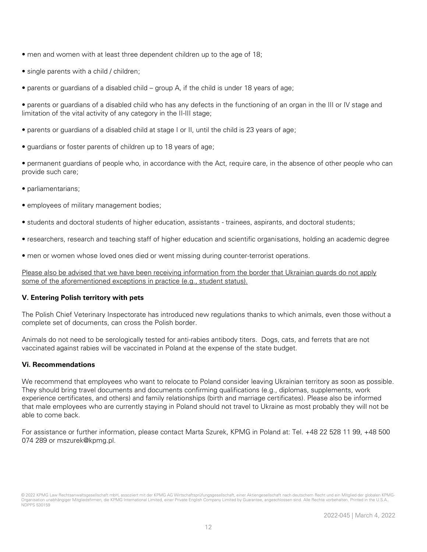- men and women with at least three dependent children up to the age of 18;
- single parents with a child / children;
- parents or guardians of a disabled child group A, if the child is under 18 years of age;
- parents or guardians of a disabled child who has any defects in the functioning of an organ in the III or IV stage and limitation of the vital activity of any category in the II-III stage;
- parents or guardians of a disabled child at stage I or II, until the child is 23 years of age;
- guardians or foster parents of children up to 18 years of age;
- permanent guardians of people who, in accordance with the Act, require care, in the absence of other people who can provide such care;
- parliamentarians;
- employees of military management bodies;
- students and doctoral students of higher education, assistants trainees, aspirants, and doctoral students;
- researchers, research and teaching staff of higher education and scientific organisations, holding an academic degree
- men or women whose loved ones died or went missing during counter-terrorist operations.

Please also be advised that we have been receiving information from the border that Ukrainian guards do not apply some of the aforementioned exceptions in practice (e.g., student status).

#### **V. Entering Polish territory with pets**

The Polish Chief Veterinary Inspectorate has introduced new regulations thanks to which animals, even those without a complete set of documents, can cross the Polish border.

Animals do not need to be serologically tested for anti-rabies antibody titers. Dogs, cats, and ferrets that are not vaccinated against rabies will be vaccinated in Poland at the expense of the state budget.

#### **Vi. Recommendations**

We recommend that employees who want to relocate to Poland consider leaving Ukrainian territory as soon as possible. They should bring travel documents and documents confirming qualifications (e.g., diplomas, supplements, work experience certificates, and others) and family relationships (birth and marriage certificates). Please also be informed that male employees who are currently staying in Poland should not travel to Ukraine as most probably they will not be able to come back.

For assistance or further information, please contact Marta Szurek, KPMG in Poland at: Tel. +48 22 528 11 99, +48 500 074 289 or mszurek@kpmg.pl.

<sup>© 2022</sup> KPMG Law Rechtsanwaltsgesellschaft mbH, assoziiert mit der KPMG AG Wirtschaftsprüfungsgesellschaft, einer Aktiengesellschaft nach deutschem Recht und ein Mitglied der globalen KPMG-Organisation unabhängiger Mitgliedsfirmen, die KPMG International Limited, einer Private English Company Limited by Guarantee, angeschlossen sind. Alle Rechte vorbehalten. Printed in the U.S.A. NDPPS 530159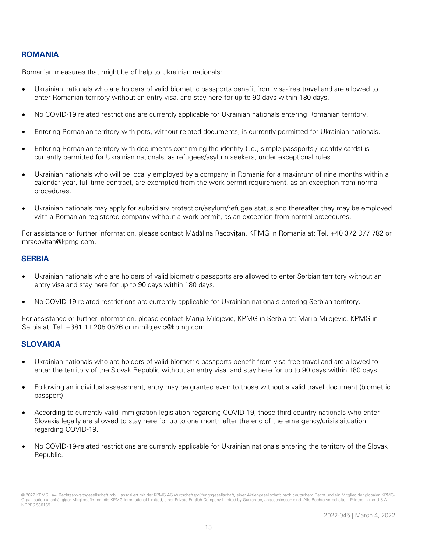#### **ROMANIA**

Romanian measures that might be of help to Ukrainian nationals:

- Ukrainian nationals who are holders of valid biometric passports benefit from visa-free travel and are allowed to enter Romanian territory without an entry visa, and stay here for up to 90 days within 180 days.
- No COVID-19 related restrictions are currently applicable for Ukrainian nationals entering Romanian territory.
- Entering Romanian territory with pets, without related documents, is currently permitted for Ukrainian nationals.
- Entering Romanian territory with documents confirming the identity (i.e., simple passports / identity cards) is currently permitted for Ukrainian nationals, as refugees/asylum seekers, under exceptional rules.
- Ukrainian nationals who will be locally employed by a company in Romania for a maximum of nine months within a calendar year, full-time contract, are exempted from the work permit requirement, as an exception from normal procedures.
- Ukrainian nationals may apply for subsidiary protection/asylum/refugee status and thereafter they may be employed with a Romanian-registered company without a work permit, as an exception from normal procedures.

For assistance or further information, please contact Mădălina Racovițan, KPMG in Romania at: Tel. +40 372 377 782 or mracovitan@kpmg.com.

#### **SERBIA**

- Ukrainian nationals who are holders of valid biometric passports are allowed to enter Serbian territory without an entry visa and stay here for up to 90 days within 180 days.
- No COVID-19-related restrictions are currently applicable for Ukrainian nationals entering Serbian territory.

For assistance or further information, please contact Marija Milojevic, KPMG in Serbia at: Marija Milojevic, KPMG in Serbia at: Tel. +381 11 205 0526 or mmilojevic@kpmg.com.

#### **SLOVAKIA**

- Ukrainian nationals who are holders of valid biometric passports benefit from visa-free travel and are allowed to enter the territory of the Slovak Republic without an entry visa, and stay here for up to 90 days within 180 days.
- Following an individual assessment, entry may be granted even to those without a valid travel document (biometric passport).
- According to currently-valid immigration legislation regarding COVID-19, those third-country nationals who enter Slovakia legally are allowed to stay here for up to one month after the end of the emergency/crisis situation regarding COVID-19.
- No COVID-19-related restrictions are currently applicable for Ukrainian nationals entering the territory of the Slovak Republic.

<sup>© 2022</sup> KPMG Law Rechtsanwaltsgesellschaft mbH, assoziiert mit der KPMG AG Wirtschaftsprüfungsgesellschaft, einer Aktiengesellschaft nach deutschem Recht und ein Mitglied der globalen KPMG-Organisation unabhängiger Mitgliedsfirmen, die KPMG International Limited, einer Private English Company Limited by Guarantee, angeschlossen sind. Alle Rechte vorbehalten. Printed in the U.S.A. NDPPS 530159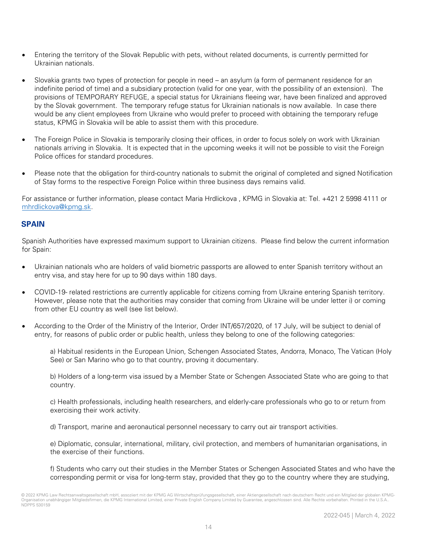- Entering the territory of the Slovak Republic with pets, without related documents, is currently permitted for Ukrainian nationals.
- Slovakia grants two types of protection for people in need an asylum (a form of permanent residence for an indefinite period of time) and a subsidiary protection (valid for one year, with the possibility of an extension). The provisions of TEMPORARY REFUGE, a special status for Ukrainians fleeing war, have been finalized and approved by the Slovak government. The temporary refuge status for Ukrainian nationals is now available. In case there would be any client employees from Ukraine who would prefer to proceed with obtaining the temporary refuge status, KPMG in Slovakia will be able to assist them with this procedure.
- The Foreign Police in Slovakia is temporarily closing their offices, in order to focus solely on work with Ukrainian nationals arriving in Slovakia. It is expected that in the upcoming weeks it will not be possible to visit the Foreign Police offices for standard procedures.
- Please note that the obligation for third-country nationals to submit the original of completed and signed Notification of Stay forms to the respective Foreign Police within three business days remains valid.

For assistance or further information, please contact Maria Hrdlickova , KPMG in Slovakia at: Tel. +421 2 5998 4111 or [mhrdlickova@kpmg.sk.](mailto:mhrdlickova@kpmg.sk)

#### **SPAIN**

Spanish Authorities have expressed maximum support to Ukrainian citizens. Please find below the current information for Spain:

- Ukrainian nationals who are holders of valid biometric passports are allowed to enter Spanish territory without an entry visa, and stay here for up to 90 days within 180 days.
- COVID-19- related restrictions are currently applicable for citizens coming from Ukraine entering Spanish territory. However, please note that the authorities may consider that coming from Ukraine will be under letter i) or coming from other EU country as well (see list below).
- According to the Order of the Ministry of the Interior, Order INT/657/2020, of 17 July, will be subject to denial of entry, for reasons of public order or public health, unless they belong to one of the following categories:

a) Habitual residents in the European Union, Schengen Associated States, Andorra, Monaco, The Vatican (Holy See) or San Marino who go to that country, proving it documentary.

b) Holders of a long-term visa issued by a Member State or Schengen Associated State who are going to that country.

c) Health professionals, including health researchers, and elderly-care professionals who go to or return from exercising their work activity.

d) Transport, marine and aeronautical personnel necessary to carry out air transport activities.

e) Diplomatic, consular, international, military, civil protection, and members of humanitarian organisations, in the exercise of their functions.

f) Students who carry out their studies in the Member States or Schengen Associated States and who have the corresponding permit or visa for long-term stay, provided that they go to the country where they are studying,

<sup>© 2022</sup> KPMG Law Rechtsanwaltsgesellschaft mbH, assoziiert mit der KPMG AG Wirtschaftsprüfungsgesellschaft, einer Aktiengesellschaft nach deutschem Recht und ein Mitglied der globalen KPMG-Organisation unabhängiger Mitgliedsfirmen, die KPMG International Limited, einer Private English Company Limited by Guarantee, angeschlossen sind. Alle Rechte vorbehalten. Printed in the U.S.A. NDPPS 530159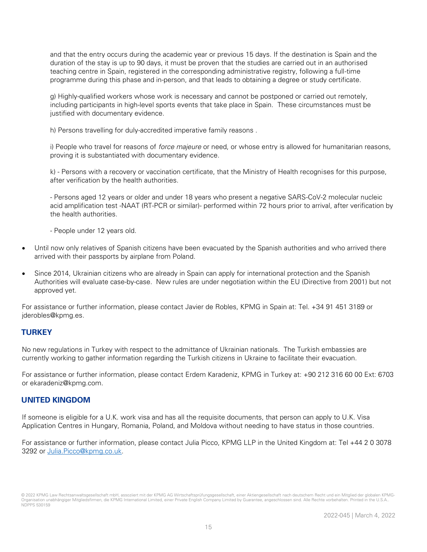and that the entry occurs during the academic year or previous 15 days. If the destination is Spain and the duration of the stay is up to 90 days, it must be proven that the studies are carried out in an authorised teaching centre in Spain, registered in the corresponding administrative registry, following a full-time programme during this phase and in-person, and that leads to obtaining a degree or study certificate.

g) Highly-qualified workers whose work is necessary and cannot be postponed or carried out remotely, including participants in high-level sports events that take place in Spain. These circumstances must be justified with documentary evidence.

h) Persons travelling for duly-accredited imperative family reasons .

i) People who travel for reasons of *force majeure* or need, or whose entry is allowed for humanitarian reasons, proving it is substantiated with documentary evidence.

k) - Persons with a recovery or vaccination certificate, that the Ministry of Health recognises for this purpose, after verification by the health authorities.

- Persons aged 12 years or older and under 18 years who present a negative SARS-CoV-2 molecular nucleic acid amplification test -NAAT (RT-PCR or similar)- performed within 72 hours prior to arrival, after verification by the health authorities.

- People under 12 years old.

- Until now only relatives of Spanish citizens have been evacuated by the Spanish authorities and who arrived there arrived with their passports by airplane from Poland.
- Since 2014, Ukrainian citizens who are already in Spain can apply for international protection and the Spanish Authorities will evaluate case-by-case. New rules are under negotiation within the EU (Directive from 2001) but not approved yet.

For assistance or further information, please contact Javier de Robles, KPMG in Spain at: Tel. +34 91 451 3189 or jderobles@kpmg.es.

#### **TURKEY**

No new regulations in Turkey with respect to the admittance of Ukrainian nationals. The Turkish embassies are currently working to gather information regarding the Turkish citizens in Ukraine to facilitate their evacuation.

For assistance or further information, please contact Erdem Karadeniz, KPMG in Turkey at: +90 212 316 60 00 Ext: 6703 or ekaradeniz@kpmg.com.

#### **UNITED KINGDOM**

If someone is eligible for a U.K. work visa and has all the requisite documents, that person can apply to U.K. Visa Application Centres in Hungary, Romania, Poland, and Moldova without needing to have status in those countries.

For assistance or further information, please contact Julia Picco, KPMG LLP in the United Kingdom at: Tel +44 2 0 3078 3292 or [Julia.Picco@kpmg.co.uk.](mailto:Julia.Picco@kpmg.co.uk)

<sup>© 2022</sup> KPMG Law Rechtsanwaltsgesellschaft mbH, assoziiert mit der KPMG AG Wirtschaftsprüfungsgesellschaft, einer Aktiengesellschaft nach deutschem Recht und ein Mitglied der globalen KPMG-Organisation unabhängiger Mitgliedsfirmen, die KPMG International Limited, einer Private English Company Limited by Guarantee, angeschlossen sind. Alle Rechte vorbehalten. Printed i NDPPS 530159